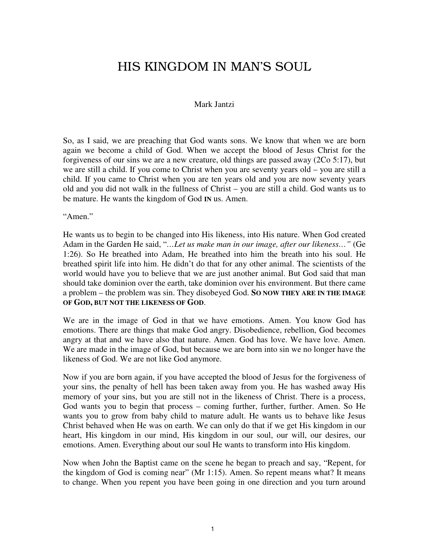## HIS KINGDOM IN MAN'S SOUL

## Mark Jantzi

So, as I said, we are preaching that God wants sons. We know that when we are born again we become a child of God. When we accept the blood of Jesus Christ for the forgiveness of our sins we are a new creature, old things are passed away (2Co 5:17), but we are still a child. If you come to Christ when you are seventy years old – you are still a child. If you came to Christ when you are ten years old and you are now seventy years old and you did not walk in the fullness of Christ – you are still a child. God wants us to be mature. He wants the kingdom of God **IN** us. Amen.

"Amen."

He wants us to begin to be changed into His likeness, into His nature. When God created Adam in the Garden He said, "*…Let us make man in our image, after our likeness…"* (Ge 1:26). So He breathed into Adam, He breathed into him the breath into his soul. He breathed spirit life into him. He didn't do that for any other animal. The scientists of the world would have you to believe that we are just another animal. But God said that man should take dominion over the earth, take dominion over his environment. But there came a problem – the problem was sin. They disobeyed God. **SO NOW THEY ARE IN THE IMAGE OF GOD, BUT NOT THE LIKENESS OF GOD**.

We are in the image of God in that we have emotions. Amen. You know God has emotions. There are things that make God angry. Disobedience, rebellion, God becomes angry at that and we have also that nature. Amen. God has love. We have love. Amen. We are made in the image of God, but because we are born into sin we no longer have the likeness of God. We are not like God anymore.

Now if you are born again, if you have accepted the blood of Jesus for the forgiveness of your sins, the penalty of hell has been taken away from you. He has washed away His memory of your sins, but you are still not in the likeness of Christ. There is a process, God wants you to begin that process – coming further, further, further. Amen. So He wants you to grow from baby child to mature adult. He wants us to behave like Jesus Christ behaved when He was on earth. We can only do that if we get His kingdom in our heart, His kingdom in our mind, His kingdom in our soul, our will, our desires, our emotions. Amen. Everything about our soul He wants to transform into His kingdom.

Now when John the Baptist came on the scene he began to preach and say, "Repent, for the kingdom of God is coming near" (Mr 1:15). Amen. So repent means what? It means to change. When you repent you have been going in one direction and you turn around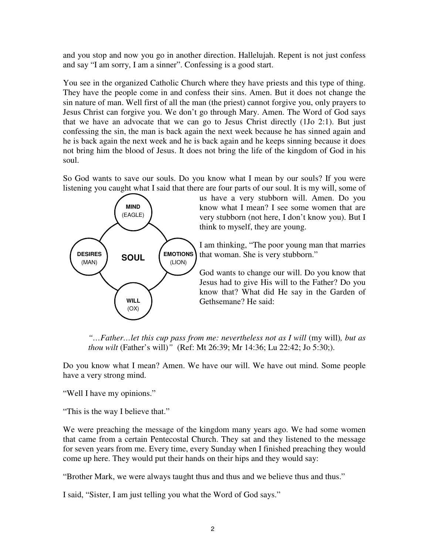and you stop and now you go in another direction. Hallelujah. Repent is not just confess and say "I am sorry, I am a sinner". Confessing is a good start.

You see in the organized Catholic Church where they have priests and this type of thing. They have the people come in and confess their sins. Amen. But it does not change the sin nature of man. Well first of all the man (the priest) cannot forgive you, only prayers to Jesus Christ can forgive you. We don't go through Mary. Amen. The Word of God says that we have an advocate that we can go to Jesus Christ directly (1Jo 2:1). But just confessing the sin, the man is back again the next week because he has sinned again and he is back again the next week and he is back again and he keeps sinning because it does not bring him the blood of Jesus. It does not bring the life of the kingdom of God in his soul.

So God wants to save our souls. Do you know what I mean by our souls? If you were listening you caught what I said that there are four parts of our soul. It is my will, some of



us have a very stubborn will. Amen. Do you know what I mean? I see some women that are very stubborn (not here, I don't know you). But I think to myself, they are young.

I am thinking, "The poor young man that marries that woman. She is very stubborn."

God wants to change our will. Do you know that Jesus had to give His will to the Father? Do you know that? What did He say in the Garden of Gethsemane? He said:

*"…Father…let this cup pass from me: nevertheless not as I will* (my will)*, but as thou wilt* (Father's will)*"* (Ref: Mt 26:39; Mr 14:36; Lu 22:42; Jo 5:30;).

Do you know what I mean? Amen. We have our will. We have out mind. Some people have a very strong mind.

"Well I have my opinions."

"This is the way I believe that."

We were preaching the message of the kingdom many years ago. We had some women that came from a certain Pentecostal Church. They sat and they listened to the message for seven years from me. Every time, every Sunday when I finished preaching they would come up here. They would put their hands on their hips and they would say:

"Brother Mark, we were always taught thus and thus and we believe thus and thus."

I said, "Sister, I am just telling you what the Word of God says."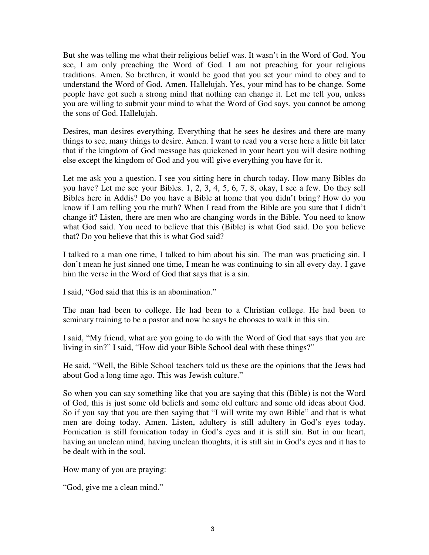But she was telling me what their religious belief was. It wasn't in the Word of God. You see, I am only preaching the Word of God. I am not preaching for your religious traditions. Amen. So brethren, it would be good that you set your mind to obey and to understand the Word of God. Amen. Hallelujah. Yes, your mind has to be change. Some people have got such a strong mind that nothing can change it. Let me tell you, unless you are willing to submit your mind to what the Word of God says, you cannot be among the sons of God. Hallelujah.

Desires, man desires everything. Everything that he sees he desires and there are many things to see, many things to desire. Amen. I want to read you a verse here a little bit later that if the kingdom of God message has quickened in your heart you will desire nothing else except the kingdom of God and you will give everything you have for it.

Let me ask you a question. I see you sitting here in church today. How many Bibles do you have? Let me see your Bibles. 1, 2, 3, 4, 5, 6, 7, 8, okay, I see a few. Do they sell Bibles here in Addis? Do you have a Bible at home that you didn't bring? How do you know if I am telling you the truth? When I read from the Bible are you sure that I didn't change it? Listen, there are men who are changing words in the Bible. You need to know what God said. You need to believe that this (Bible) is what God said. Do you believe that? Do you believe that this is what God said?

I talked to a man one time, I talked to him about his sin. The man was practicing sin. I don't mean he just sinned one time, I mean he was continuing to sin all every day. I gave him the verse in the Word of God that says that is a sin.

I said, "God said that this is an abomination."

The man had been to college. He had been to a Christian college. He had been to seminary training to be a pastor and now he says he chooses to walk in this sin.

I said, "My friend, what are you going to do with the Word of God that says that you are living in sin?" I said, "How did your Bible School deal with these things?"

He said, "Well, the Bible School teachers told us these are the opinions that the Jews had about God a long time ago. This was Jewish culture."

So when you can say something like that you are saying that this (Bible) is not the Word of God, this is just some old beliefs and some old culture and some old ideas about God. So if you say that you are then saying that "I will write my own Bible" and that is what men are doing today. Amen. Listen, adultery is still adultery in God's eyes today. Fornication is still fornication today in God's eyes and it is still sin. But in our heart, having an unclean mind, having unclean thoughts, it is still sin in God's eyes and it has to be dealt with in the soul.

How many of you are praying:

"God, give me a clean mind."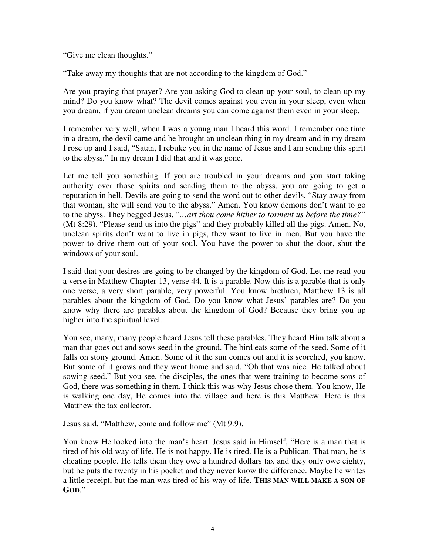"Give me clean thoughts."

"Take away my thoughts that are not according to the kingdom of God."

Are you praying that prayer? Are you asking God to clean up your soul, to clean up my mind? Do you know what? The devil comes against you even in your sleep, even when you dream, if you dream unclean dreams you can come against them even in your sleep.

I remember very well, when I was a young man I heard this word. I remember one time in a dream, the devil came and he brought an unclean thing in my dream and in my dream I rose up and I said, "Satan, I rebuke you in the name of Jesus and I am sending this spirit to the abyss." In my dream I did that and it was gone.

Let me tell you something. If you are troubled in your dreams and you start taking authority over those spirits and sending them to the abyss, you are going to get a reputation in hell. Devils are going to send the word out to other devils, "Stay away from that woman, she will send you to the abyss." Amen. You know demons don't want to go to the abyss. They begged Jesus, "*…art thou come hither to torment us before the time?"*  (Mt 8:29). "Please send us into the pigs" and they probably killed all the pigs. Amen. No, unclean spirits don't want to live in pigs, they want to live in men. But you have the power to drive them out of your soul. You have the power to shut the door, shut the windows of your soul.

I said that your desires are going to be changed by the kingdom of God. Let me read you a verse in Matthew Chapter 13, verse 44. It is a parable. Now this is a parable that is only one verse, a very short parable, very powerful. You know brethren, Matthew 13 is all parables about the kingdom of God. Do you know what Jesus' parables are? Do you know why there are parables about the kingdom of God? Because they bring you up higher into the spiritual level.

You see, many, many people heard Jesus tell these parables. They heard Him talk about a man that goes out and sows seed in the ground. The bird eats some of the seed. Some of it falls on stony ground. Amen. Some of it the sun comes out and it is scorched, you know. But some of it grows and they went home and said, "Oh that was nice. He talked about sowing seed." But you see, the disciples, the ones that were training to become sons of God, there was something in them. I think this was why Jesus chose them. You know, He is walking one day, He comes into the village and here is this Matthew. Here is this Matthew the tax collector.

Jesus said, "Matthew, come and follow me" (Mt 9:9).

You know He looked into the man's heart. Jesus said in Himself, "Here is a man that is tired of his old way of life. He is not happy. He is tired. He is a Publican. That man, he is cheating people. He tells them they owe a hundred dollars tax and they only owe eighty, but he puts the twenty in his pocket and they never know the difference. Maybe he writes a little receipt, but the man was tired of his way of life. **THIS MAN WILL MAKE A SON OF GOD**."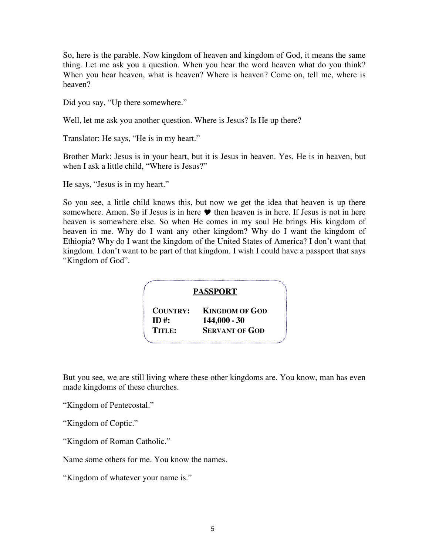So, here is the parable. Now kingdom of heaven and kingdom of God, it means the same thing. Let me ask you a question. When you hear the word heaven what do you think? When you hear heaven, what is heaven? Where is heaven? Come on, tell me, where is heaven?

Did you say, "Up there somewhere."

Well, let me ask you another question. Where is Jesus? Is He up there?

Translator: He says, "He is in my heart."

Brother Mark: Jesus is in your heart, but it is Jesus in heaven. Yes, He is in heaven, but when I ask a little child, "Where is Jesus?"

He says, "Jesus is in my heart."

So you see, a little child knows this, but now we get the idea that heaven is up there somewhere. Amen. So if Jesus is in here  $\bullet$  then heaven is in here. If Jesus is not in here heaven is somewhere else. So when He comes in my soul He brings His kingdom of heaven in me. Why do I want any other kingdom? Why do I want the kingdom of Ethiopia? Why do I want the kingdom of the United States of America? I don't want that kingdom. I don't want to be part of that kingdom. I wish I could have a passport that says "Kingdom of God".

## **PASSPORT**

**COUNTRY: KINGDOM OF GOD**  $\mathbf{ID}$  **#:**  $144,000 - 30$ **TITLE: SERVANT OF GOD**

But you see, we are still living where these other kingdoms are. You know, man has even made kingdoms of these churches.

"Kingdom of Pentecostal."

"Kingdom of Coptic."

"Kingdom of Roman Catholic."

Name some others for me. You know the names.

"Kingdom of whatever your name is."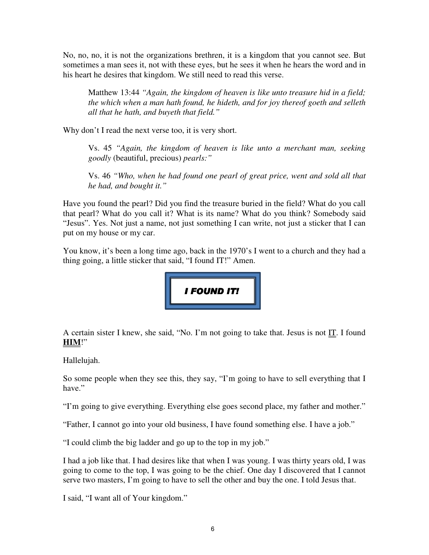No, no, no, it is not the organizations brethren, it is a kingdom that you cannot see. But sometimes a man sees it, not with these eyes, but he sees it when he hears the word and in his heart he desires that kingdom. We still need to read this verse.

Matthew 13:44 *"Again, the kingdom of heaven is like unto treasure hid in a field; the which when a man hath found, he hideth, and for joy thereof goeth and selleth all that he hath, and buyeth that field."* 

Why don't I read the next verse too, it is very short.

Vs. 45 *"Again, the kingdom of heaven is like unto a merchant man, seeking goodly* (beautiful, precious) *pearls:"* 

Vs. 46 *"Who, when he had found one pearl of great price, went and sold all that he had, and bought it."* 

Have you found the pearl? Did you find the treasure buried in the field? What do you call that pearl? What do you call it? What is its name? What do you think? Somebody said "Jesus". Yes. Not just a name, not just something I can write, not just a sticker that I can put on my house or my car.

You know, it's been a long time ago, back in the 1970's I went to a church and they had a thing going, a little sticker that said, "I found IT!" Amen.



A certain sister I knew, she said, "No. I'm not going to take that. Jesus is not IT. I found **HIM**!"

Hallelujah.

So some people when they see this, they say, "I'm going to have to sell everything that I have."

"I'm going to give everything. Everything else goes second place, my father and mother."

"Father, I cannot go into your old business, I have found something else. I have a job."

"I could climb the big ladder and go up to the top in my job."

I had a job like that. I had desires like that when I was young. I was thirty years old, I was going to come to the top, I was going to be the chief. One day I discovered that I cannot serve two masters, I'm going to have to sell the other and buy the one. I told Jesus that.

I said, "I want all of Your kingdom."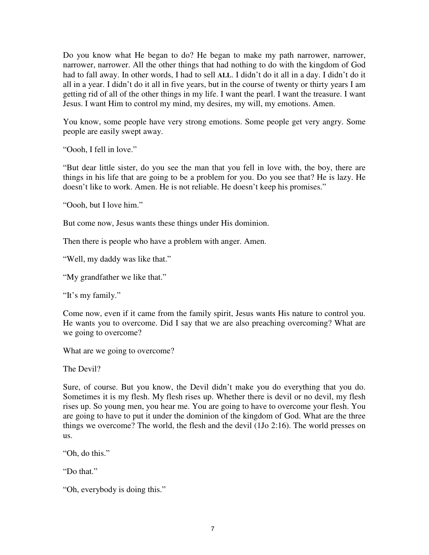Do you know what He began to do? He began to make my path narrower, narrower, narrower, narrower. All the other things that had nothing to do with the kingdom of God had to fall away. In other words, I had to sell **ALL**. I didn't do it all in a day. I didn't do it all in a year. I didn't do it all in five years, but in the course of twenty or thirty years I am getting rid of all of the other things in my life. I want the pearl. I want the treasure. I want Jesus. I want Him to control my mind, my desires, my will, my emotions. Amen.

You know, some people have very strong emotions. Some people get very angry. Some people are easily swept away.

"Oooh, I fell in love."

"But dear little sister, do you see the man that you fell in love with, the boy, there are things in his life that are going to be a problem for you. Do you see that? He is lazy. He doesn't like to work. Amen. He is not reliable. He doesn't keep his promises."

"Oooh, but I love him."

But come now, Jesus wants these things under His dominion.

Then there is people who have a problem with anger. Amen.

"Well, my daddy was like that."

"My grandfather we like that."

"It's my family."

Come now, even if it came from the family spirit, Jesus wants His nature to control you. He wants you to overcome. Did I say that we are also preaching overcoming? What are we going to overcome?

What are we going to overcome?

The Devil?

Sure, of course. But you know, the Devil didn't make you do everything that you do. Sometimes it is my flesh. My flesh rises up. Whether there is devil or no devil, my flesh rises up. So young men, you hear me. You are going to have to overcome your flesh. You are going to have to put it under the dominion of the kingdom of God. What are the three things we overcome? The world, the flesh and the devil (1Jo 2:16). The world presses on us.

"Oh, do this."

"Do that."

"Oh, everybody is doing this."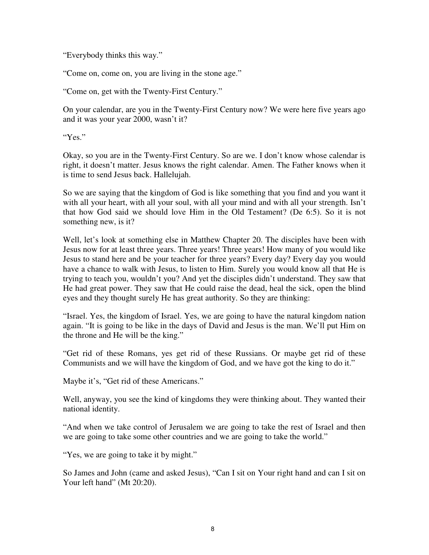"Everybody thinks this way."

"Come on, come on, you are living in the stone age."

"Come on, get with the Twenty-First Century."

On your calendar, are you in the Twenty-First Century now? We were here five years ago and it was your year 2000, wasn't it?

"Yes."

Okay, so you are in the Twenty-First Century. So are we. I don't know whose calendar is right, it doesn't matter. Jesus knows the right calendar. Amen. The Father knows when it is time to send Jesus back. Hallelujah.

So we are saying that the kingdom of God is like something that you find and you want it with all your heart, with all your soul, with all your mind and with all your strength. Isn't that how God said we should love Him in the Old Testament? (De 6:5). So it is not something new, is it?

Well, let's look at something else in Matthew Chapter 20. The disciples have been with Jesus now for at least three years. Three years! Three years! How many of you would like Jesus to stand here and be your teacher for three years? Every day? Every day you would have a chance to walk with Jesus, to listen to Him. Surely you would know all that He is trying to teach you, wouldn't you? And yet the disciples didn't understand. They saw that He had great power. They saw that He could raise the dead, heal the sick, open the blind eyes and they thought surely He has great authority. So they are thinking:

"Israel. Yes, the kingdom of Israel. Yes, we are going to have the natural kingdom nation again. "It is going to be like in the days of David and Jesus is the man. We'll put Him on the throne and He will be the king."

"Get rid of these Romans, yes get rid of these Russians. Or maybe get rid of these Communists and we will have the kingdom of God, and we have got the king to do it."

Maybe it's, "Get rid of these Americans."

Well, anyway, you see the kind of kingdoms they were thinking about. They wanted their national identity.

"And when we take control of Jerusalem we are going to take the rest of Israel and then we are going to take some other countries and we are going to take the world."

"Yes, we are going to take it by might."

So James and John (came and asked Jesus), "Can I sit on Your right hand and can I sit on Your left hand" (Mt 20:20).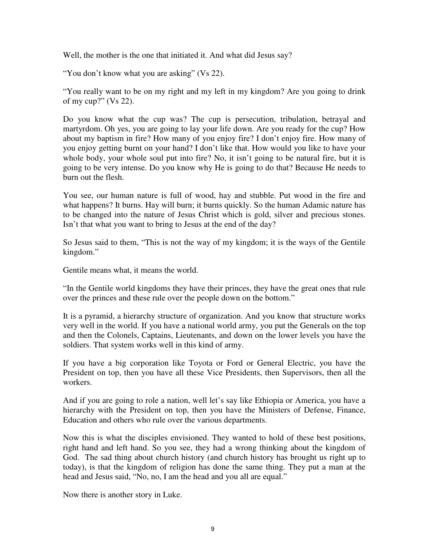Well, the mother is the one that initiated it. And what did Jesus say?

"You don't know what you are asking" (Vs 22).

"You really want to be on my right and my left in my kingdom? Are you going to drink of my cup?" (Vs 22).

Do you know what the cup was? The cup is persecution, tribulation, betrayal and martyrdom. Oh yes, you are going to lay your life down. Are you ready for the cup? How about my baptism in fire? How many of you enjoy fire? I don't enjoy fire. How many of you enjoy getting burnt on your hand? I don't like that. How would you like to have your whole body, your whole soul put into fire? No, it isn't going to be natural fire, but it is going to be very intense. Do you know why He is going to do that? Because He needs to burn out the flesh.

You see, our human nature is full of wood, hay and stubble. Put wood in the fire and what happens? It burns. Hay will burn; it burns quickly. So the human Adamic nature has to be changed into the nature of Jesus Christ which is gold, silver and precious stones. Isn't that what you want to bring to Jesus at the end of the day?

So Jesus said to them, "This is not the way of my kingdom; it is the ways of the Gentile kingdom."

Gentile means what, it means the world.

"In the Gentile world kingdoms they have their princes, they have the great ones that rule over the princes and these rule over the people down on the bottom."

It is a pyramid, a hierarchy structure of organization. And you know that structure works very well in the world. If you have a national world army, you put the Generals on the top and then the Colonels, Captains, Lieutenants, and down on the lower levels you have the soldiers. That system works well in this kind of army.

If you have a big corporation like Toyota or Ford or General Electric, you have the President on top, then you have all these Vice Presidents, then Supervisors, then all the workers.

And if you are going to role a nation, well let's say like Ethiopia or America, you have a hierarchy with the President on top, then you have the Ministers of Defense, Finance, Education and others who rule over the various departments.

Now this is what the disciples envisioned. They wanted to hold of these best positions, right hand and left hand. So you see, they had a wrong thinking about the kingdom of God. The sad thing about church history (and church history has brought us right up to today), is that the kingdom of religion has done the same thing. They put a man at the head and Jesus said, "No, no, I am the head and you all are equal."

Now there is another story in Luke.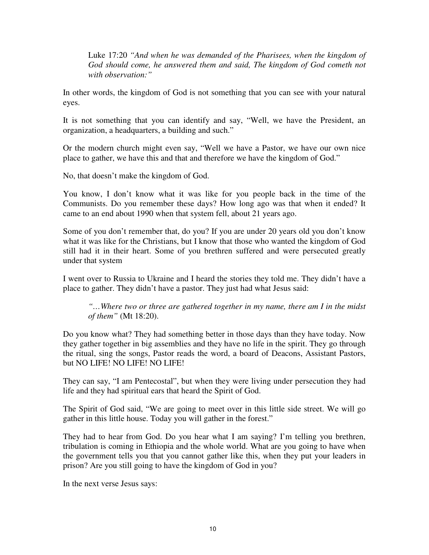Luke 17:20 *"And when he was demanded of the Pharisees, when the kingdom of*  God should come, he answered them and said, The kingdom of God cometh not *with observation:"* 

In other words, the kingdom of God is not something that you can see with your natural eyes.

It is not something that you can identify and say, "Well, we have the President, an organization, a headquarters, a building and such."

Or the modern church might even say, "Well we have a Pastor, we have our own nice place to gather, we have this and that and therefore we have the kingdom of God."

No, that doesn't make the kingdom of God.

You know, I don't know what it was like for you people back in the time of the Communists. Do you remember these days? How long ago was that when it ended? It came to an end about 1990 when that system fell, about 21 years ago.

Some of you don't remember that, do you? If you are under 20 years old you don't know what it was like for the Christians, but I know that those who wanted the kingdom of God still had it in their heart. Some of you brethren suffered and were persecuted greatly under that system

I went over to Russia to Ukraine and I heard the stories they told me. They didn't have a place to gather. They didn't have a pastor. They just had what Jesus said:

*"…Where two or three are gathered together in my name, there am I in the midst of them"* (Mt 18:20).

Do you know what? They had something better in those days than they have today. Now they gather together in big assemblies and they have no life in the spirit. They go through the ritual, sing the songs, Pastor reads the word, a board of Deacons, Assistant Pastors, but NO LIFE! NO LIFE! NO LIFE!

They can say, "I am Pentecostal", but when they were living under persecution they had life and they had spiritual ears that heard the Spirit of God.

The Spirit of God said, "We are going to meet over in this little side street. We will go gather in this little house. Today you will gather in the forest."

They had to hear from God. Do you hear what I am saying? I'm telling you brethren, tribulation is coming in Ethiopia and the whole world. What are you going to have when the government tells you that you cannot gather like this, when they put your leaders in prison? Are you still going to have the kingdom of God in you?

In the next verse Jesus says: